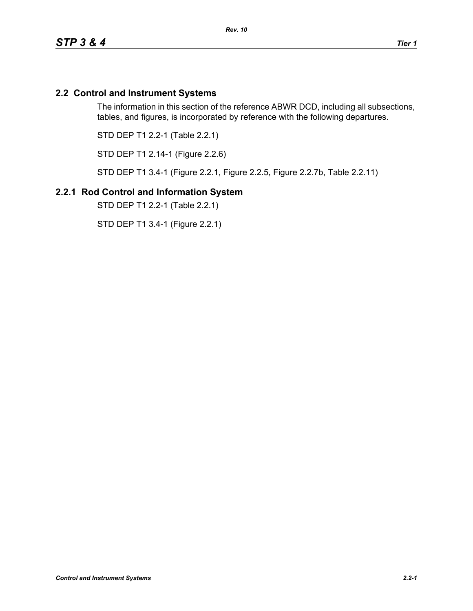# **2.2 Control and Instrument Systems**

The information in this section of the reference ABWR DCD, including all subsections, tables, and figures, is incorporated by reference with the following departures.

STD DEP T1 2.2-1 (Table 2.2.1)

STD DEP T1 2.14-1 (Figure 2.2.6)

STD DEP T1 3.4-1 (Figure 2.2.1, Figure 2.2.5, Figure 2.2.7b, Table 2.2.11)

## **2.2.1 Rod Control and Information System**

STD DEP T1 2.2-1 (Table 2.2.1)

STD DEP T1 3.4-1 (Figure 2.2.1)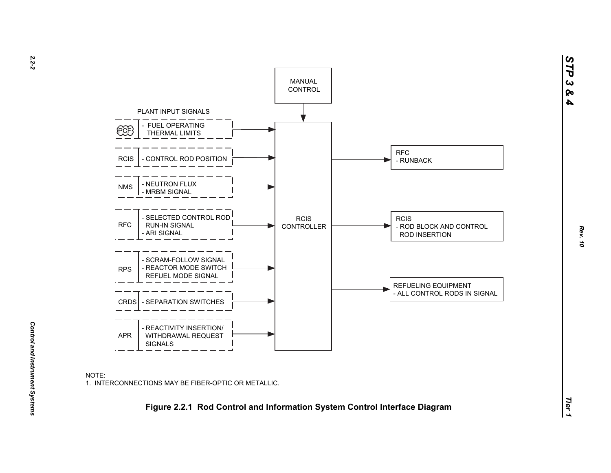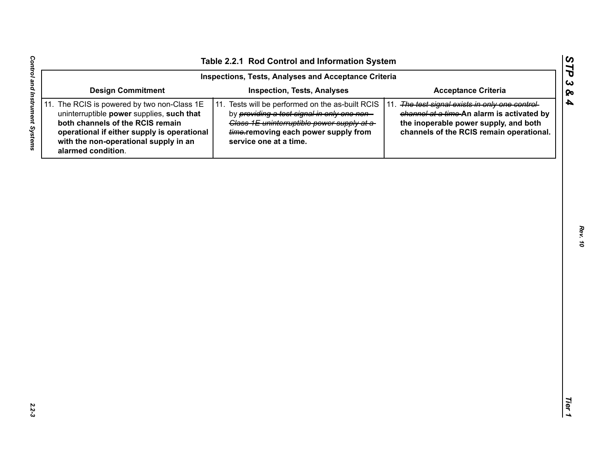|                                                                                                                                                                                                                                            | Inspections, Tests, Analyses and Acceptance Criteria                                                                                                                                                             |                                                                                                                                                                                    |
|--------------------------------------------------------------------------------------------------------------------------------------------------------------------------------------------------------------------------------------------|------------------------------------------------------------------------------------------------------------------------------------------------------------------------------------------------------------------|------------------------------------------------------------------------------------------------------------------------------------------------------------------------------------|
| <b>Design Commitment</b>                                                                                                                                                                                                                   | <b>Inspection, Tests, Analyses</b>                                                                                                                                                                               | <b>Acceptance Criteria</b>                                                                                                                                                         |
| 11. The RCIS is powered by two non-Class 1E<br>uninterruptible power supplies, such that<br>both channels of the RCIS remain<br>operational if either supply is operational<br>with the non-operational supply in an<br>alarmed condition. | 11. Tests will be performed on the as-built RCIS<br>by providing a test signal in only one non-<br>Class 1E uninterruptible power supply at a-<br>time-removing each power supply from<br>service one at a time. | 11. The test signal exists in only one control-<br>channel at a time-An alarm is activated by<br>the inoperable power supply, and both<br>channels of the RCIS remain operational. |
|                                                                                                                                                                                                                                            |                                                                                                                                                                                                                  |                                                                                                                                                                                    |
|                                                                                                                                                                                                                                            |                                                                                                                                                                                                                  |                                                                                                                                                                                    |
|                                                                                                                                                                                                                                            |                                                                                                                                                                                                                  |                                                                                                                                                                                    |
|                                                                                                                                                                                                                                            |                                                                                                                                                                                                                  |                                                                                                                                                                                    |
|                                                                                                                                                                                                                                            |                                                                                                                                                                                                                  |                                                                                                                                                                                    |
|                                                                                                                                                                                                                                            |                                                                                                                                                                                                                  |                                                                                                                                                                                    |
|                                                                                                                                                                                                                                            |                                                                                                                                                                                                                  |                                                                                                                                                                                    |
|                                                                                                                                                                                                                                            |                                                                                                                                                                                                                  |                                                                                                                                                                                    |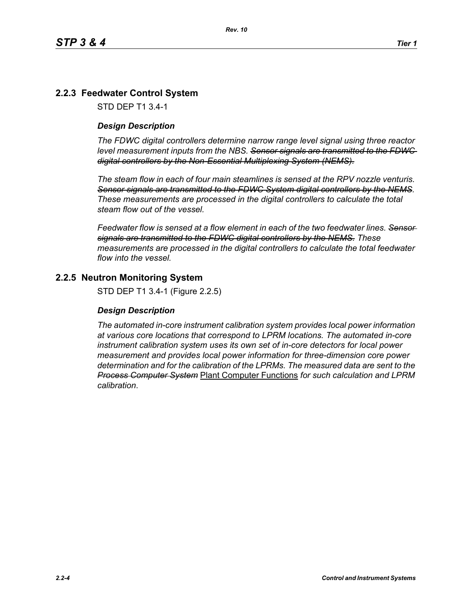# **2.2.3 Feedwater Control System**

STD DEP T1 3.4-1

#### *Design Description*

*The FDWC digital controllers determine narrow range level signal using three reactor level measurement inputs from the NBS. Sensor signals are transmitted to the FDWC digital controllers by the Non-Essential Multiplexing System (NEMS).*

*The steam flow in each of four main steamlines is sensed at the RPV nozzle venturis. Sensor signals are transmitted to the FDWC System digital controllers by the NEMS. These measurements are processed in the digital controllers to calculate the total steam flow out of the vessel.*

*Feedwater flow is sensed at a flow element in each of the two feedwater lines. Sensor signals are transmitted to the FDWC digital controllers by the NEMS. These measurements are processed in the digital controllers to calculate the total feedwater flow into the vessel.*

## **2.2.5 Neutron Monitoring System**

STD DEP T1 3.4-1 (Figure 2.2.5)

#### *Design Description*

*The automated in-core instrument calibration system provides local power information at various core locations that correspond to LPRM locations. The automated in-core instrument calibration system uses its own set of in-core detectors for local power measurement and provides local power information for three-dimension core power determination and for the calibration of the LPRMs. The measured data are sent to the Process Computer System* Plant Computer Functions *for such calculation and LPRM calibration*.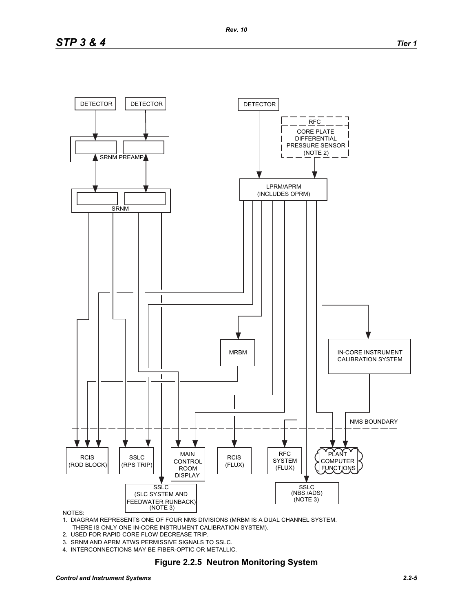

#### NOTES:

1. DIAGRAM REPRESENTS ONE OF FOUR NMS DIVISIONS (MRBM IS A DUAL CHANNEL SYSTEM. THERE IS ONLY ONE IN-CORE INSTRUMENT CALIBRATION SYSTEM).

- 2. USED FOR RAPID CORE FLOW DECREASE TRIP.
- 3. SRNM AND APRM ATWS PERMISSIVE SIGNALS TO SSLC.
- 4. INTERCONNECTIONS MAY BE FIBER-OPTIC OR METALLIC.

#### **Figure 2.2.5 Neutron Monitoring System**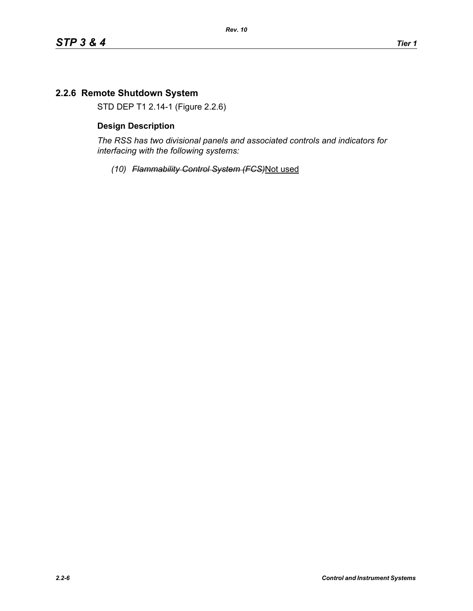# **2.2.6 Remote Shutdown System**

STD DEP T1 2.14-1 (Figure 2.2.6)

#### **Design Description**

*The RSS has two divisional panels and associated controls and indicators for interfacing with the following systems:*

*(10) Flammability Control System (FCS)*Not used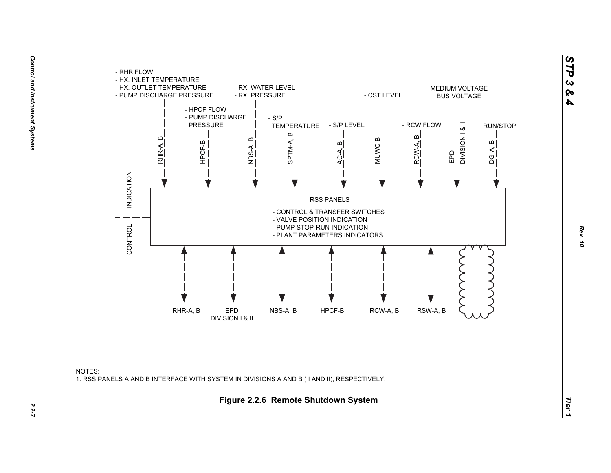



*STP 3 & 4*

 $2.2 - 7$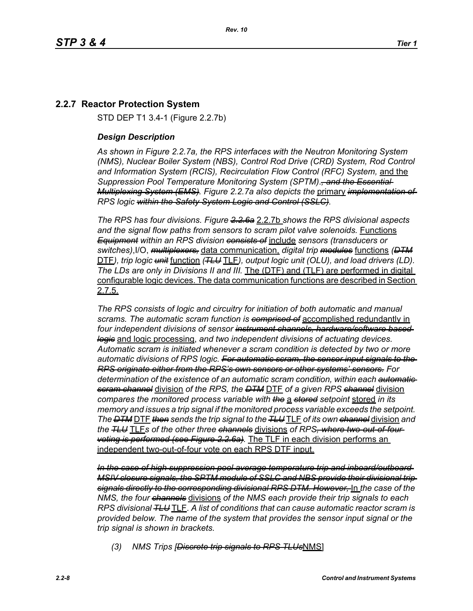# **2.2.7 Reactor Protection System**

STD DEP T1 3.4-1 (Figure 2.2.7b)

#### *Design Description*

*As shown in Figure 2.2.7a, the RPS interfaces with the Neutron Monitoring System (NMS), Nuclear Boiler System (NBS), Control Rod Drive (CRD) System, Rod Control and Information System (RCIS), Recirculation Flow Control (RFC) System,* and the *Suppression Pool Temperature Monitoring System (SPTM)*.*, and the Essential Multiplexing System (EMS). Figure 2.2.7a also depicts the* primary *implementation of RPS logic within the Safety System Logic and Control (SSLC).*

*The RPS has four divisions. Figure 2.2.6a* 2.2.7b *shows the RPS divisional aspects and the signal flow paths from sensors to scram pilot valve solenoids.* Functions *Equipment within an RPS division consists of* include *sensors (transducers or switches)*,I/O, *multiplexers,* data communication, *digital trip modules* functions *(DTM* DTF*), trip logic unit* function *(TLU* TLF*), output logic unit (OLU), and load drivers (LD). The LDs are only in Divisions II and III.* The (DTF) and (TLF) are performed in digital configurable logic devices. The data communication functions are described in Section 2.7.5.

*The RPS consists of logic and circuitry for initiation of both automatic and manual scrams. The automatic scram function is comprised of* accomplished redundantly in *four independent divisions of sensor instrument channels, hardware/software based logic* and logic processing, *and two independent divisions of actuating devices. Automatic scram is initiated whenever a scram condition is detected by two or more automatic divisions of RPS logic. For automatic scram, the sensor input signals to the RPS originate either from the RPS's own sensors or other systems' sensors. For determination of the existence of an automatic scram condition, within each automatic scram channel* division *of the RPS, the DTM* DTF *of a given RPS channel* division *compares the monitored process variable with the* a *stored setpoint* stored *in its memory and issues a trip signal if the monitored process variable exceeds the setpoint. The DTM* DTF *then sends the trip signal to the TLU* TLF *of its own channel* division *and the TLU* TLF*s of the other three channels* divisions *of RPS, where two-out-of-four voting is performed (see Figure 2.2.6a).* The TLF in each division performs an independent two-out-of-four vote on each RPS DTF input.

*In the case of high suppression pool average temperature trip and inboard/outboard MSIV closure signals, the SPTM module of SSLC and NBS provide their divisional trip signals directly to the corresponding divisional RPS DTM. However,* In *the case of the NMS, the four channels* divisions *of the NMS each provide their trip signals to each RPS divisional TLU* TLF. *A list of conditions that can cause automatic reactor scram is provided below. The name of the system that provides the sensor input signal or the trip signal is shown in brackets.*

*(3) NMS Trips [Discrete trip signals to RPS TLUs*NMS]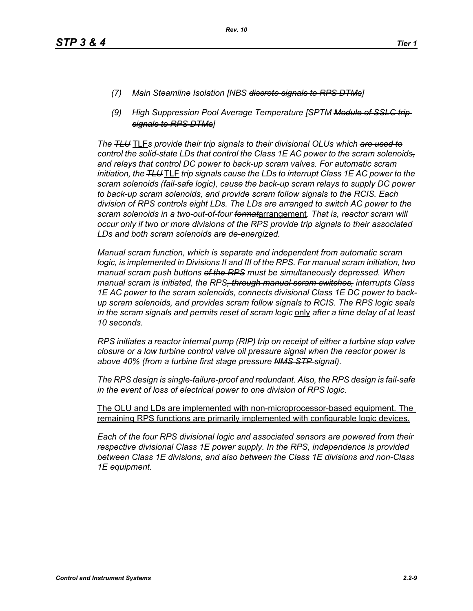- *(7) Main Steamline Isolation [NBS discrete signals to RPS DTMs]*
- *(9) High Suppression Pool Average Temperature [SPTM Module of SSLC trip signals to RPS DTMs]*

*The TLU* TLF*s provide their trip signals to their divisional OLUs which are used to control the solid-state LDs that control the Class 1E AC power to the scram solenoids, and relays that control DC power to back-up scram valves. For automatic scram initiation, the TLU* TLF *trip signals cause the LDs to interrupt Class 1E AC power to the scram solenoids (fail-safe logic), cause the back-up scram relays to supply DC power to back-up scram solenoids, and provide scram follow signals to the RCIS. Each division of RPS controls eight LDs. The LDs are arranged to switch AC power to the scram solenoids in a two-out-of-four format*arrangement. *That is, reactor scram will occur only if two or more divisions of the RPS provide trip signals to their associated LDs and both scram solenoids are de-energized.*

*Manual scram function, which is separate and independent from automatic scram logic, is implemented in Divisions II and III of the RPS. For manual scram initiation, two manual scram push buttons of the RPS must be simultaneously depressed. When manual scram is initiated, the RPS, through manual scram switches, interrupts Class 1E AC power to the scram solenoids, connects divisional Class 1E DC power to backup scram solenoids, and provides scram follow signals to RCIS. The RPS logic seals in the scram signals and permits reset of scram logic* only *after a time delay of at least 10 seconds.*

*RPS initiates a reactor internal pump (RIP) trip on receipt of either a turbine stop valve closure or a low turbine control valve oil pressure signal when the reactor power is above 40% (from a turbine first stage pressure NMS STP signal).*

*The RPS design is single-failure-proof and redundant. Also, the RPS design is fail-safe in the event of loss of electrical power to one division of RPS logic.*

The OLU and LDs are implemented with non-microprocessor-based equipment. The remaining RPS functions are primarily implemented with configurable logic devices.

*Each of the four RPS divisional logic and associated sensors are powered from their respective divisional Class 1E power supply. In the RPS, independence is provided between Class 1E divisions, and also between the Class 1E divisions and non-Class 1E equipment.*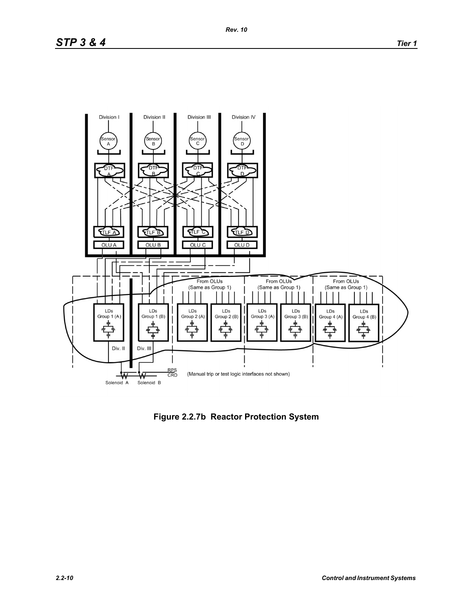# *STP 3 & 4 Tier 1*



**Figure 2.2.7b Reactor Protection System**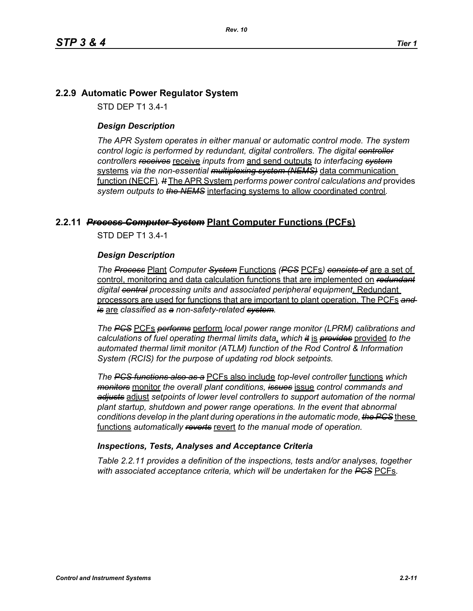# **2.2.9 Automatic Power Regulator System**

STD DEP T1 3.4-1

#### *Design Description*

*The APR System operates in either manual or automatic control mode. The system control logic is performed by redundant, digital controllers. The digital controller controllers receives* receive *inputs from* and send outputs *to interfacing system* systems *via the non-essential multiplexing system (NEMS)* data communication function (NECF)*. It* The APR System *performs power control calculations and* provides *system outputs to the NEMS* interfacing systems to allow coordinated control*.*

## **2.2.11** *Process Computer System* **Plant Computer Functions (PCFs)**

STD DEP T1 3.4-1

#### *Design Description*

*The Process* Plant *Computer System* Functions *(PCS* PCFs*) consists of* are a set of control, monitoring and data calculation functions that are implemented on *redundant digital central processing units and associated peripheral equipment*. Redundant processors are used for functions that are important to plant operation. The PCFs *and is* are *classified as a non-safety-related system.*

*The PCS* PCFs *performs* perform *local power range monitor (LPRM) calibrations and calculations of fuel operating thermal limits data*, *which it* is *provides* provided *to the automated thermal limit monitor (ATLM) function of the Rod Control & Information System (RCIS) for the purpose of updating rod block setpoints.*

*The PCS functions also as a* PCFs also include *top-level controller* functions *which monitors* monitor *the overall plant conditions, issues* issue *control commands and adjusts* adjust *setpoints of lower level controllers to support automation of the normal plant startup, shutdown and power range operations. In the event that abnormal conditions develop in the plant during operations in the automatic mode, the PCS* these functions *automatically reverts* revert *to the manual mode of operation.*

#### *Inspections, Tests, Analyses and Acceptance Criteria*

*Table 2.2.11 provides a definition of the inspections, tests and/or analyses, together with associated acceptance criteria, which will be undertaken for the PCS* PCFs*.*